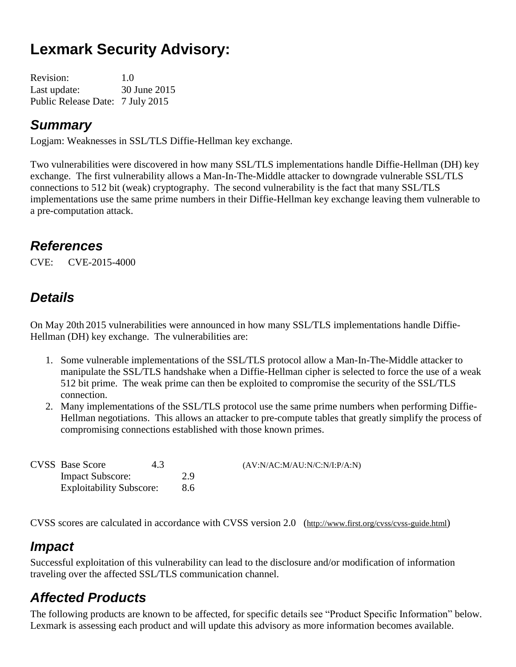# **Lexmark Security Advisory:**

| <b>Revision:</b>                 | 1.0          |
|----------------------------------|--------------|
| Last update:                     | 30 June 2015 |
| Public Release Date: 7 July 2015 |              |

## *Summary*

Logjam: Weaknesses in SSL/TLS Diffie-Hellman key exchange.

Two vulnerabilities were discovered in how many SSL/TLS implementations handle Diffie-Hellman (DH) key exchange. The first vulnerability allows a Man-In-The-Middle attacker to downgrade vulnerable SSL/TLS connections to 512 bit (weak) cryptography. The second vulnerability is the fact that many SSL/TLS implementations use the same prime numbers in their Diffie-Hellman key exchange leaving them vulnerable to a pre-computation attack.

# *References*

CVE: CVE-2015-4000

# *Details*

On May 20th 2015 vulnerabilities were announced in how many SSL/TLS implementations handle Diffie-Hellman (DH) key exchange. The vulnerabilities are:

- 1. Some vulnerable implementations of the SSL/TLS protocol allow a Man-In-The-Middle attacker to manipulate the SSL/TLS handshake when a Diffie-Hellman cipher is selected to force the use of a weak 512 bit prime. The weak prime can then be exploited to compromise the security of the SSL/TLS connection.
- 2. Many implementations of the SSL/TLS protocol use the same prime numbers when performing Diffie-Hellman negotiations. This allows an attacker to pre-compute tables that greatly simplify the process of compromising connections established with those known primes.

| <b>CVSS</b> Base Score          | 4.3 |     | (AV:N/AC:M/AU:N/C:N/I:P/A:N) |
|---------------------------------|-----|-----|------------------------------|
| <b>Impact Subscore:</b>         |     | 2.9 |                              |
| <b>Exploitability Subscore:</b> |     | 8.6 |                              |

CVSS scores are calculated in accordance with CVSS version 2.0 (http://www.first.org/cvss/cvss-guide.html)

# *Impact*

Successful exploitation of this vulnerability can lead to the disclosure and/or modification of information traveling over the affected SSL/TLS communication channel.

# *Affected Products*

The following products are known to be affected, for specific details see "Product Specific Information" below. Lexmark is assessing each product and will update this advisory as more information becomes available.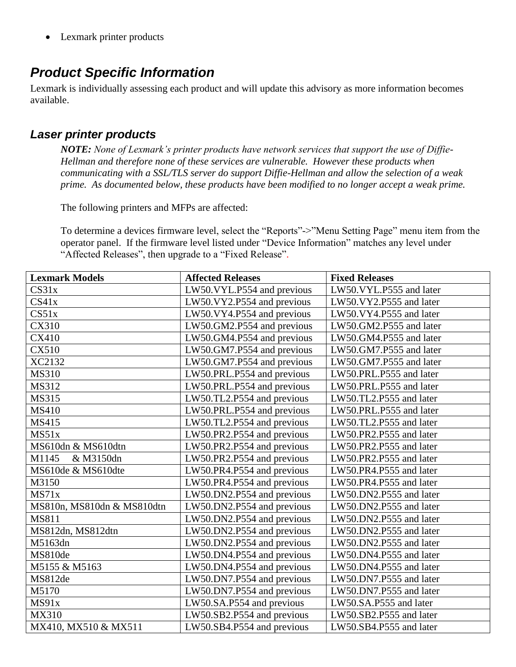• Lexmark printer products

## *Product Specific Information*

Lexmark is individually assessing each product and will update this advisory as more information becomes available.

#### *Laser printer products*

*NOTE: None of Lexmark's printer products have network services that support the use of Diffie-Hellman and therefore none of these services are vulnerable. However these products when communicating with a SSL/TLS server do support Diffie-Hellman and allow the selection of a weak prime. As documented below, these products have been modified to no longer accept a weak prime.*

The following printers and MFPs are affected:

To determine a devices firmware level, select the "Reports"->"Menu Setting Page" menu item from the operator panel. If the firmware level listed under "Device Information" matches any level under "Affected Releases", then upgrade to a "Fixed Release".

| <b>Lexmark Models</b>      | <b>Affected Releases</b>   | <b>Fixed Releases</b>   |
|----------------------------|----------------------------|-------------------------|
| CS31x                      | LW50.VYL.P554 and previous | LW50.VYL.P555 and later |
| CS41x                      | LW50.VY2.P554 and previous | LW50.VY2.P555 and later |
| CS51x                      | LW50.VY4.P554 and previous | LW50.VY4.P555 and later |
| <b>CX310</b>               | LW50.GM2.P554 and previous | LW50.GM2.P555 and later |
| <b>CX410</b>               | LW50.GM4.P554 and previous | LW50.GM4.P555 and later |
| <b>CX510</b>               | LW50.GM7.P554 and previous | LW50.GM7.P555 and later |
| XC2132                     | LW50.GM7.P554 and previous | LW50.GM7.P555 and later |
| <b>MS310</b>               | LW50.PRL.P554 and previous | LW50.PRL.P555 and later |
| MS312                      | LW50.PRL.P554 and previous | LW50.PRL.P555 and later |
| <b>MS315</b>               | LW50.TL2.P554 and previous | LW50.TL2.P555 and later |
| <b>MS410</b>               | LW50.PRL.P554 and previous | LW50.PRL.P555 and later |
| MS415                      | LW50.TL2.P554 and previous | LW50.TL2.P555 and later |
| MS51x                      | LW50.PR2.P554 and previous | LW50.PR2.P555 and later |
| MS610dn & MS610dtn         | LW50.PR2.P554 and previous | LW50.PR2.P555 and later |
| M1145<br>& M3150dn         | LW50.PR2.P554 and previous | LW50.PR2.P555 and later |
| MS610de & MS610dte         | LW50.PR4.P554 and previous | LW50.PR4.P555 and later |
| M3150                      | LW50.PR4.P554 and previous | LW50.PR4.P555 and later |
| MS71x                      | LW50.DN2.P554 and previous | LW50.DN2.P555 and later |
| MS810n, MS810dn & MS810dtn | LW50.DN2.P554 and previous | LW50.DN2.P555 and later |
| <b>MS811</b>               | LW50.DN2.P554 and previous | LW50.DN2.P555 and later |
| MS812dn, MS812dtn          | LW50.DN2.P554 and previous | LW50.DN2.P555 and later |
| M5163dn                    | LW50.DN2.P554 and previous | LW50.DN2.P555 and later |
| MS810de                    | LW50.DN4.P554 and previous | LW50.DN4.P555 and later |
| M5155 & M5163              | LW50.DN4.P554 and previous | LW50.DN4.P555 and later |
| MS812de                    | LW50.DN7.P554 and previous | LW50.DN7.P555 and later |
| M5170                      | LW50.DN7.P554 and previous | LW50.DN7.P555 and later |
| MS91x                      | LW50.SA.P554 and previous  | LW50.SA.P555 and later  |
| <b>MX310</b>               | LW50.SB2.P554 and previous | LW50.SB2.P555 and later |
| MX410, MX510 & MX511       | LW50.SB4.P554 and previous | LW50.SB4.P555 and later |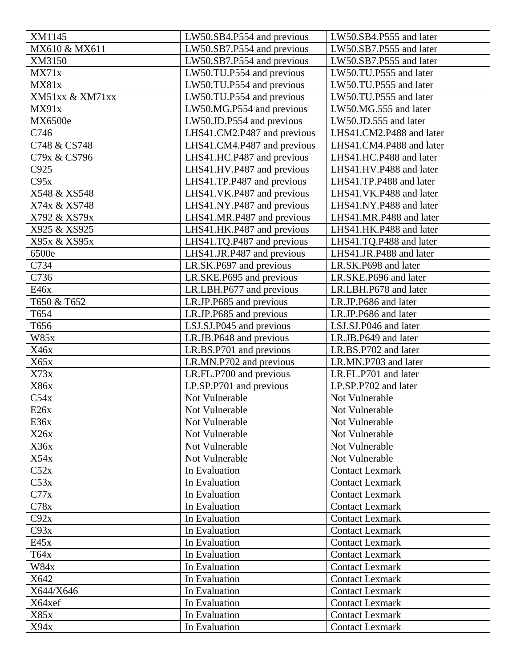| XM1145          | LW50.SB4.P554 and previous  | LW50.SB4.P555 and later  |
|-----------------|-----------------------------|--------------------------|
| MX610 & MX611   | LW50.SB7.P554 and previous  | LW50.SB7.P555 and later  |
| XM3150          | LW50.SB7.P554 and previous  | LW50.SB7.P555 and later  |
| MX71x           | LW50.TU.P554 and previous   | LW50.TU.P555 and later   |
| MX81x           | LW50.TU.P554 and previous   | LW50.TU.P555 and later   |
| XM51xx & XM71xx | LW50.TU.P554 and previous   | LW50.TU.P555 and later   |
| MX91x           | LW50.MG.P554 and previous   | LW50.MG.555 and later    |
| MX6500e         | LW50.JD.P554 and previous   | LW50.JD.555 and later    |
| C746            | LHS41.CM2.P487 and previous | LHS41.CM2.P488 and later |
| C748 & CS748    | LHS41.CM4.P487 and previous | LHS41.CM4.P488 and later |
| C79x & CS796    | LHS41.HC.P487 and previous  | LHS41.HC.P488 and later  |
| C925            | LHS41.HV.P487 and previous  | LHS41.HV.P488 and later  |
| C95x            | LHS41.TP.P487 and previous  | LHS41.TP.P488 and later  |
| X548 & XS548    | LHS41.VK.P487 and previous  | LHS41.VK.P488 and later  |
| X74x & XS748    | LHS41.NY.P487 and previous  | LHS41.NY.P488 and later  |
| X792 & XS79x    | LHS41.MR.P487 and previous  | LHS41.MR.P488 and later  |
| X925 & XS925    | LHS41.HK.P487 and previous  | LHS41.HK.P488 and later  |
| X95x & XS95x    | LHS41.TQ.P487 and previous  | LHS41.TQ.P488 and later  |
| 6500e           | LHS41.JR.P487 and previous  | LHS41.JR.P488 and later  |
| C734            | LR.SK.P697 and previous     | LR.SK.P698 and later     |
| C736            | LR.SKE.P695 and previous    | LR.SKE.P696 and later    |
| E46x            | LR.LBH.P677 and previous    | LR.LBH.P678 and later    |
| T650 & T652     | LR.JP.P685 and previous     | LR.JP.P686 and later     |
|                 |                             | LR.JP.P686 and later     |
| T654            | LR.JP.P685 and previous     |                          |
| T656            | LSJ.SJ.P045 and previous    | LSJ.SJ.P046 and later    |
| <b>W85x</b>     | LR.JB.P648 and previous     | LR.JB.P649 and later     |
| X46x            | LR.BS.P701 and previous     | LR.BS.P702 and later     |
| X65x            | LR.MN.P702 and previous     | LR.MN.P703 and later     |
| X73x            | LR.FL.P700 and previous     | LR.FL.P701 and later     |
| X86x            | LP.SP.P701 and previous     | LP.SP.P702 and later     |
| C54x            | Not Vulnerable              | Not Vulnerable           |
| E26x            | Not Vulnerable              | Not Vulnerable           |
| E36x            | Not Vulnerable              | Not Vulnerable           |
| X26x            | Not Vulnerable              | Not Vulnerable           |
| X36x            | Not Vulnerable              | Not Vulnerable           |
| X54x            | Not Vulnerable              | Not Vulnerable           |
| C52x            | In Evaluation               | <b>Contact Lexmark</b>   |
| C53x            | In Evaluation               | <b>Contact Lexmark</b>   |
| C77x            | In Evaluation               | <b>Contact Lexmark</b>   |
| C78x            | In Evaluation               | <b>Contact Lexmark</b>   |
| C92x            | In Evaluation               | <b>Contact Lexmark</b>   |
| C93x            | In Evaluation               | <b>Contact Lexmark</b>   |
| E45x            | In Evaluation               | <b>Contact Lexmark</b>   |
| T64x            | In Evaluation               | <b>Contact Lexmark</b>   |
| <b>W84x</b>     | In Evaluation               | <b>Contact Lexmark</b>   |
| X642            | In Evaluation               | <b>Contact Lexmark</b>   |
| X644/X646       | In Evaluation               | <b>Contact Lexmark</b>   |
| X64xef          | In Evaluation               | <b>Contact Lexmark</b>   |
| X85x            | In Evaluation               | <b>Contact Lexmark</b>   |
| X94x            | In Evaluation               | <b>Contact Lexmark</b>   |